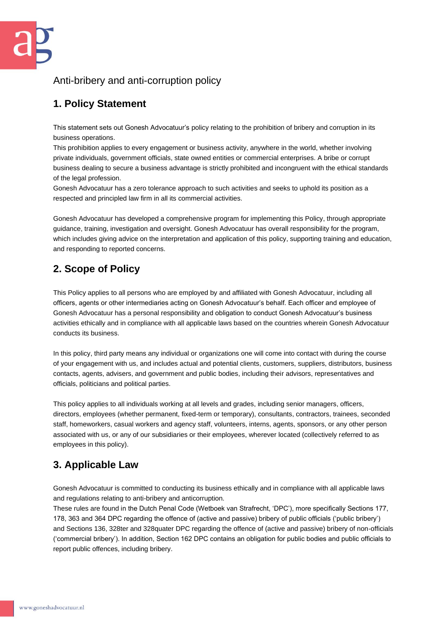### Anti-bribery and anti-corruption policy

# **1. Policy Statement**

This statement sets out Gonesh Advocatuur's policy relating to the prohibition of bribery and corruption in its business operations.

This prohibition applies to every engagement or business activity, anywhere in the world, whether involving private individuals, government officials, state owned entities or commercial enterprises. A bribe or corrupt business dealing to secure a business advantage is strictly prohibited and incongruent with the ethical standards of the legal profession.

Gonesh Advocatuur has a zero tolerance approach to such activities and seeks to uphold its position as a respected and principled law firm in all its commercial activities.

Gonesh Advocatuur has developed a comprehensive program for implementing this Policy, through appropriate guidance, training, investigation and oversight. Gonesh Advocatuur has overall responsibility for the program, which includes giving advice on the interpretation and application of this policy, supporting training and education, and responding to reported concerns.

# **2. Scope of Policy**

This Policy applies to all persons who are employed by and affiliated with Gonesh Advocatuur, including all officers, agents or other intermediaries acting on Gonesh Advocatuur's behalf. Each officer and employee of Gonesh Advocatuur has a personal responsibility and obligation to conduct Gonesh Advocatuur's business activities ethically and in compliance with all applicable laws based on the countries wherein Gonesh Advocatuur conducts its business.

In this policy, third party means any individual or organizations one will come into contact with during the course of your engagement with us, and includes actual and potential clients, customers, suppliers, distributors, business contacts, agents, advisers, and government and public bodies, including their advisors, representatives and officials, politicians and political parties.

This policy applies to all individuals working at all levels and grades, including senior managers, officers, directors, employees (whether permanent, fixed-term or temporary), consultants, contractors, trainees, seconded staff, homeworkers, casual workers and agency staff, volunteers, interns, agents, sponsors, or any other person associated with us, or any of our subsidiaries or their employees, wherever located (collectively referred to as employees in this policy).

# **3. Applicable Law**

Gonesh Advocatuur is committed to conducting its business ethically and in compliance with all applicable laws and regulations relating to anti-bribery and anticorruption.

These rules are found in the Dutch Penal Code (Wetboek van Strafrecht, 'DPC'), more specifically Sections 177, 178, 363 and 364 DPC regarding the offence of (active and passive) bribery of public officials ('public bribery') and Sections 136, 328ter and 328quater DPC regarding the offence of (active and passive) bribery of non-officials ('commercial bribery'). In addition, Section 162 DPC contains an obligation for public bodies and public officials to report public offences, including bribery.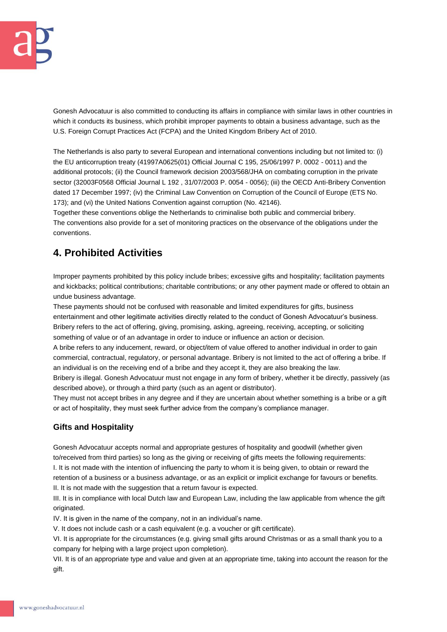Gonesh Advocatuur is also committed to conducting its affairs in compliance with similar laws in other countries in which it conducts its business, which prohibit improper payments to obtain a business advantage, such as the U.S. Foreign Corrupt Practices Act (FCPA) and the United Kingdom Bribery Act of 2010.

The Netherlands is also party to several European and international conventions including but not limited to: (i) the EU anticorruption treaty (41997A0625(01) Official Journal C 195, 25/06/1997 P. 0002 - 0011) and the additional protocols; (ii) the Council framework decision 2003/568/JHA on combating corruption in the private sector (32003F0568 Official Journal L 192 , 31/07/2003 P. 0054 - 0056); (iii) the OECD Anti-Bribery Convention dated 17 December 1997; (iv) the Criminal Law Convention on Corruption of the Council of Europe (ETS No. 173); and (vi) the United Nations Convention against corruption (No. 42146).

Together these conventions oblige the Netherlands to criminalise both public and commercial bribery. The conventions also provide for a set of monitoring practices on the observance of the obligations under the conventions.

## **4. Prohibited Activities**

Improper payments prohibited by this policy include bribes; excessive gifts and hospitality; facilitation payments and kickbacks; political contributions; charitable contributions; or any other payment made or offered to obtain an undue business advantage.

These payments should not be confused with reasonable and limited expenditures for gifts, business entertainment and other legitimate activities directly related to the conduct of Gonesh Advocatuur's business. Bribery refers to the act of offering, giving, promising, asking, agreeing, receiving, accepting, or soliciting something of value or of an advantage in order to induce or influence an action or decision.

A bribe refers to any inducement, reward, or object/item of value offered to another individual in order to gain commercial, contractual, regulatory, or personal advantage. Bribery is not limited to the act of offering a bribe. If an individual is on the receiving end of a bribe and they accept it, they are also breaking the law.

Bribery is illegal. Gonesh Advocatuur must not engage in any form of bribery, whether it be directly, passively (as described above), or through a third party (such as an agent or distributor).

They must not accept bribes in any degree and if they are uncertain about whether something is a bribe or a gift or act of hospitality, they must seek further advice from the company's compliance manager.

### **Gifts and Hospitality**

Gonesh Advocatuur accepts normal and appropriate gestures of hospitality and goodwill (whether given to/received from third parties) so long as the giving or receiving of gifts meets the following requirements: I. It is not made with the intention of influencing the party to whom it is being given, to obtain or reward the retention of a business or a business advantage, or as an explicit or implicit exchange for favours or benefits. II. It is not made with the suggestion that a return favour is expected.

III. It is in compliance with local Dutch law and European Law, including the law applicable from whence the gift originated.

IV. It is given in the name of the company, not in an individual's name.

V. It does not include cash or a cash equivalent (e.g. a voucher or gift certificate).

VI. It is appropriate for the circumstances (e.g. giving small gifts around Christmas or as a small thank you to a company for helping with a large project upon completion).

VII. It is of an appropriate type and value and given at an appropriate time, taking into account the reason for the gift.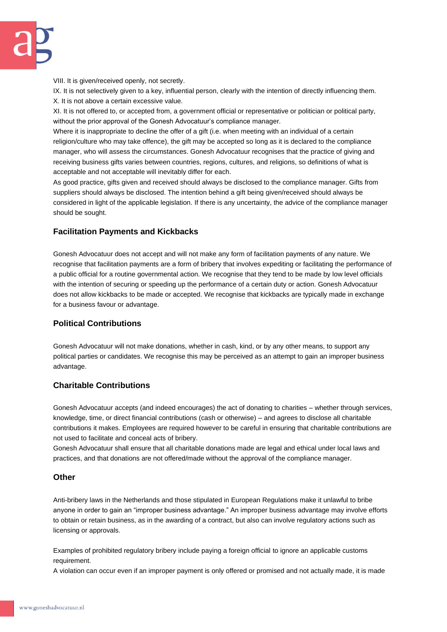VIII. It is given/received openly, not secretly.

IX. It is not selectively given to a key, influential person, clearly with the intention of directly influencing them. X. It is not above a certain excessive value.

XI. It is not offered to, or accepted from, a government official or representative or politician or political party, without the prior approval of the Gonesh Advocatuur's compliance manager.

Where it is inappropriate to decline the offer of a gift (i.e. when meeting with an individual of a certain religion/culture who may take offence), the gift may be accepted so long as it is declared to the compliance manager, who will assess the circumstances. Gonesh Advocatuur recognises that the practice of giving and receiving business gifts varies between countries, regions, cultures, and religions, so definitions of what is acceptable and not acceptable will inevitably differ for each.

As good practice, gifts given and received should always be disclosed to the compliance manager. Gifts from suppliers should always be disclosed. The intention behind a gift being given/received should always be considered in light of the applicable legislation. If there is any uncertainty, the advice of the compliance manager should be sought.

#### **Facilitation Payments and Kickbacks**

Gonesh Advocatuur does not accept and will not make any form of facilitation payments of any nature. We recognise that facilitation payments are a form of bribery that involves expediting or facilitating the performance of a public official for a routine governmental action. We recognise that they tend to be made by low level officials with the intention of securing or speeding up the performance of a certain duty or action. Gonesh Advocatuur does not allow kickbacks to be made or accepted. We recognise that kickbacks are typically made in exchange for a business favour or advantage.

### **Political Contributions**

Gonesh Advocatuur will not make donations, whether in cash, kind, or by any other means, to support any political parties or candidates. We recognise this may be perceived as an attempt to gain an improper business advantage.

#### **Charitable Contributions**

Gonesh Advocatuur accepts (and indeed encourages) the act of donating to charities – whether through services, knowledge, time, or direct financial contributions (cash or otherwise) – and agrees to disclose all charitable contributions it makes. Employees are required however to be careful in ensuring that charitable contributions are not used to facilitate and conceal acts of bribery.

Gonesh Advocatuur shall ensure that all charitable donations made are legal and ethical under local laws and practices, and that donations are not offered/made without the approval of the compliance manager.

#### **Other**

Anti-bribery laws in the Netherlands and those stipulated in European Regulations make it unlawful to bribe anyone in order to gain an "improper business advantage." An improper business advantage may involve efforts to obtain or retain business, as in the awarding of a contract, but also can involve regulatory actions such as licensing or approvals.

Examples of prohibited regulatory bribery include paying a foreign official to ignore an applicable customs requirement.

A violation can occur even if an improper payment is only offered or promised and not actually made, it is made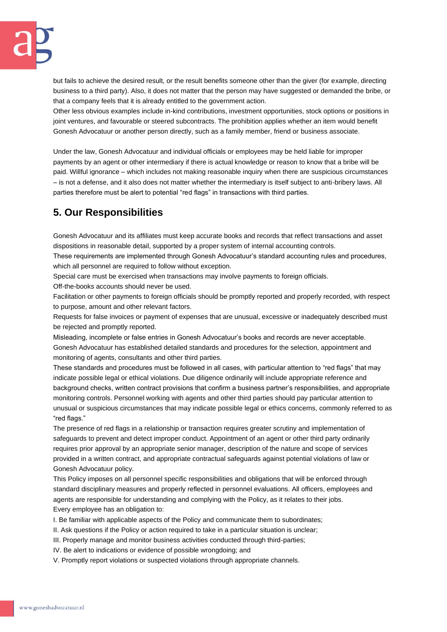but fails to achieve the desired result, or the result benefits someone other than the giver (for example, directing business to a third party). Also, it does not matter that the person may have suggested or demanded the bribe, or that a company feels that it is already entitled to the government action.

Other less obvious examples include in-kind contributions, investment opportunities, stock options or positions in joint ventures, and favourable or steered subcontracts. The prohibition applies whether an item would benefit Gonesh Advocatuur or another person directly, such as a family member, friend or business associate.

Under the law, Gonesh Advocatuur and individual officials or employees may be held liable for improper payments by an agent or other intermediary if there is actual knowledge or reason to know that a bribe will be paid. Willful ignorance – which includes not making reasonable inquiry when there are suspicious circumstances – is not a defense, and it also does not matter whether the intermediary is itself subject to anti-bribery laws. All parties therefore must be alert to potential "red flags" in transactions with third parties.

# **5. Our Responsibilities**

Gonesh Advocatuur and its affiliates must keep accurate books and records that reflect transactions and asset dispositions in reasonable detail, supported by a proper system of internal accounting controls.

These requirements are implemented through Gonesh Advocatuur's standard accounting rules and procedures, which all personnel are required to follow without exception.

Special care must be exercised when transactions may involve payments to foreign officials.

Off-the-books accounts should never be used.

Facilitation or other payments to foreign officials should be promptly reported and properly recorded, with respect to purpose, amount and other relevant factors.

Requests for false invoices or payment of expenses that are unusual, excessive or inadequately described must be rejected and promptly reported.

Misleading, incomplete or false entries in Gonesh Advocatuur's books and records are never acceptable. Gonesh Advocatuur has established detailed standards and procedures for the selection, appointment and monitoring of agents, consultants and other third parties.

These standards and procedures must be followed in all cases, with particular attention to "red flags" that may indicate possible legal or ethical violations. Due diligence ordinarily will include appropriate reference and background checks, written contract provisions that confirm a business partner's responsibilities, and appropriate monitoring controls. Personnel working with agents and other third parties should pay particular attention to unusual or suspicious circumstances that may indicate possible legal or ethics concerns, commonly referred to as "red flags."

The presence of red flags in a relationship or transaction requires greater scrutiny and implementation of safeguards to prevent and detect improper conduct. Appointment of an agent or other third party ordinarily requires prior approval by an appropriate senior manager, description of the nature and scope of services provided in a written contract, and appropriate contractual safeguards against potential violations of law or Gonesh Advocatuur policy.

This Policy imposes on all personnel specific responsibilities and obligations that will be enforced through standard disciplinary measures and properly reflected in personnel evaluations. All officers, employees and agents are responsible for understanding and complying with the Policy, as it relates to their jobs. Every employee has an obligation to:

I. Be familiar with applicable aspects of the Policy and communicate them to subordinates;

II. Ask questions if the Policy or action required to take in a particular situation is unclear;

III. Properly manage and monitor business activities conducted through third-parties;

IV. Be alert to indications or evidence of possible wrongdoing; and

V. Promptly report violations or suspected violations through appropriate channels.